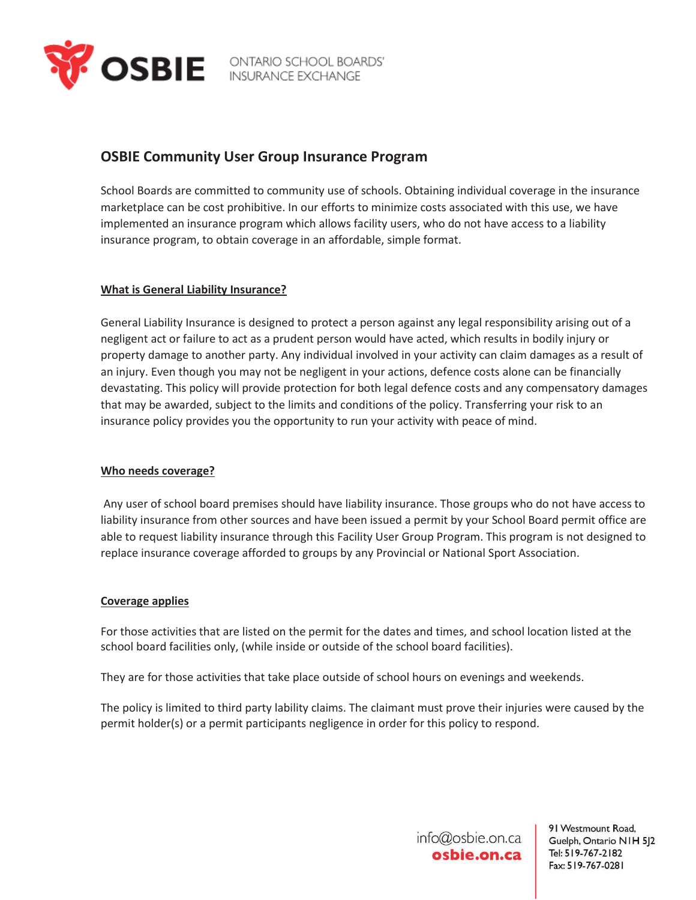

# **OSBIE Community User Group Insurance Program**

School Boards are committed to community use of schools. Obtaining individual coverage in the insurance marketplace can be cost prohibitive. In our efforts to minimize costs associated with this use, we have implemented an insurance program which allows facility users, who do not have access to a liability insurance program, to obtain coverage in an affordable, simple format.

# **What is General Liability Insurance?**

General Liability Insurance is designed to protect a person against any legal responsibility arising out of a negligent act or failure to act as a prudent person would have acted, which results in bodily injury or property damage to another party. Any individual involved in your activity can claim damages as a result of an injury. Even though you may not be negligent in your actions, defence costs alone can be financially devastating. This policy will provide protection for both legal defence costs and any compensatory damages that may be awarded, subject to the limits and conditions of the policy. Transferring your risk to an insurance policy provides you the opportunity to run your activity with peace of mind.

# **Who needs coverage?**

 Any user of school board premises should have liability insurance. Those groups who do not have access to liability insurance from other sources and have been issued a permit by your School Board permit office are able to request liability insurance through this Facility User Group Program. This program is not designed to replace insurance coverage afforded to groups by any Provincial or National Sport Association.

# **Coverage applies**

For those activities that are listed on the permit for the dates and times, and school location listed at the school board facilities only, (while inside or outside of the school board facilities).

They are for those activities that take place outside of school hours on evenings and weekends.

The policy is limited to third party lability claims. The claimant must prove their injuries were caused by the permit holder(s) or a permit participants negligence in order for this policy to respond.

> info@osbie.on.ca osbie.on.ca

91 Westmount Road, Guelph, Ontario NIH 5J2 Tel: 519-767-2182 Fax: 519-767-0281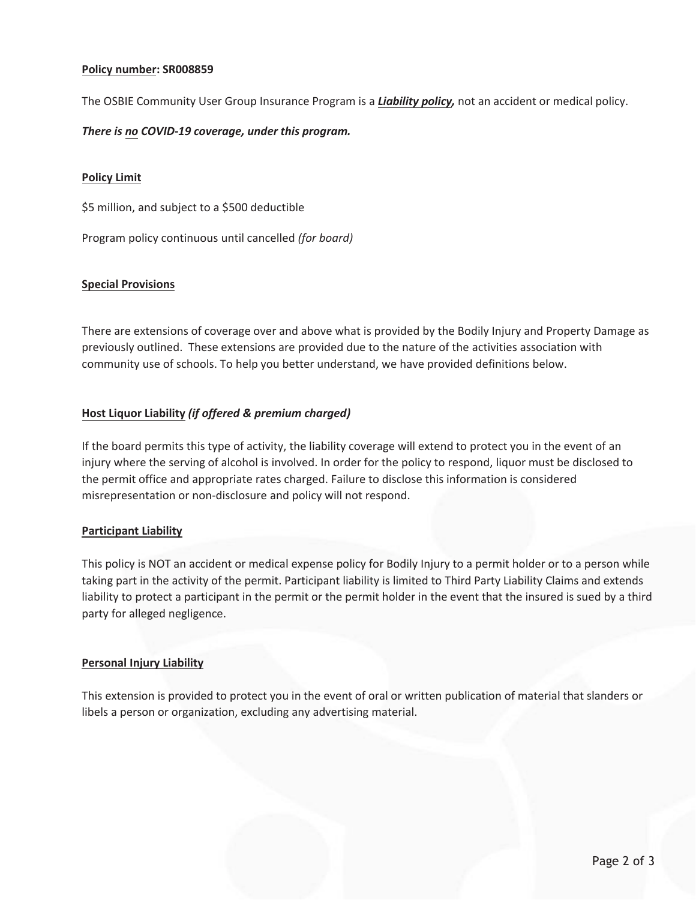# **Policy number: SR008859**

The OSBIE Community User Group Insurance Program is a *Liability policy,* not an accident or medical policy.

# *There is no COVID-19 coverage, under this program.*

# **Policy Limit**

\$5 million, and subject to a \$500 deductible

Program policy continuous until cancelled (for board)

# **Special Provisions**

There are extensions of coverage over and above what is provided by the Bodily Injury and Property Damage as previously outlined. These extensions are provided due to the nature of the activities association with community use of schools. To help you better understand, we have provided definitions below.

# **Host Liquor Liability (if offered & premium charged)**

If the board permits this type of activity, the liability coverage will extend to protect you in the event of an injury where the serving of alcohol is involved. In order for the policy to respond, liquor must be disclosed to the permit office and appropriate rates charged. Failure to disclose this information is considered misrepresentation or non-disclosure and policy will not respond.

# **Participant Liability**

This policy is NOT an accident or medical expense policy for Bodily Injury to a permit holder or to a person while taking part in the activity of the permit. Participant liability is limited to Third Party Liability Claims and extends liability to protect a participant in the permit or the permit holder in the event that the insured is sued by a third party for alleged negligence.

# **Personal Injury Liability**

This extension is provided to protect you in the event of oral or written publication of material that slanders or libels a person or organization, excluding any advertising material.